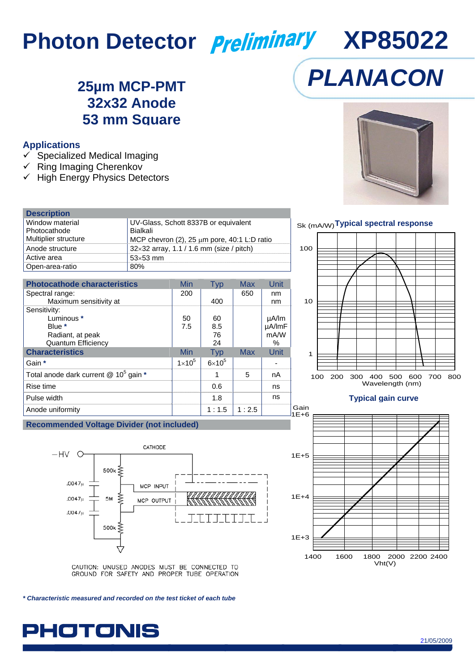# **Photon Detector** *Preliminary* XP85022

### **25µm MCP-PMT 32x32 Anode 53 mm Square**

#### **Applications**

- $\checkmark$  Specialized Medical Imaging
- $\checkmark$  Ring Imaging Cherenkov
- $\checkmark$  High Energy Physics Detectors

| <b>Description</b>   |                                                 |
|----------------------|-------------------------------------------------|
| Window material      | UV-Glass, Schott 8337B or equivalent            |
| Photocathode         | Bialkali                                        |
| Multiplier structure | MCP chevron (2), 25 µm pore, 40:1 L:D ratio     |
| Anode structure      | $32\times32$ array, 1.1 / 1.6 mm (size / pitch) |
| Active area          | $53\times53$ mm                                 |
| Open-area-ratio      | 80%                                             |

| <b>Photocathode characteristics</b>                   | Min           | Typ           | <b>Max</b> | Unit       |
|-------------------------------------------------------|---------------|---------------|------------|------------|
| Spectral range:                                       | 200           |               | 650        | nm         |
| Maximum sensitivity at                                |               | 400           |            | nm         |
| Sensitivity:                                          |               |               |            |            |
| Luminous *                                            | 50            | 60            |            | $\mu$ A/lm |
| Blue *                                                | 7.5           | 8.5           |            | µA/ImF     |
| Radiant, at peak                                      |               | 76            |            | mA/W       |
| <b>Quantum Efficiency</b>                             |               | 24            |            | %          |
| <b>Characteristics</b>                                | Min           | <b>Typ</b>    | <b>Max</b> | Unit       |
| Gain *                                                | $1\times10^5$ | $6\times10^5$ |            |            |
| Total anode dark current $@$ 10 <sup>5</sup> gain $*$ |               |               | 5          | nA         |
| Rise time                                             |               | 0.6           |            | ns         |
| Pulse width                                           |               | 1.8           |            | ns         |
| Anode uniformity                                      |               | 1:1.5         | 1:2.5      | G          |

#### **Recommended Voltage Divider (not included)**



CAUTION: UNUSED ANODES MUST BE CONNECTED TO<br>GROUND FOR SAFETY AND PROPER TUBE OPERATION

*\* Characteristic measured and recorded on the test ticket of each tube* 

**PHOTONIS** 



*PLANACON*

### Sk (mA/W) **Typical spectral response**



#### **Typical gain curve**